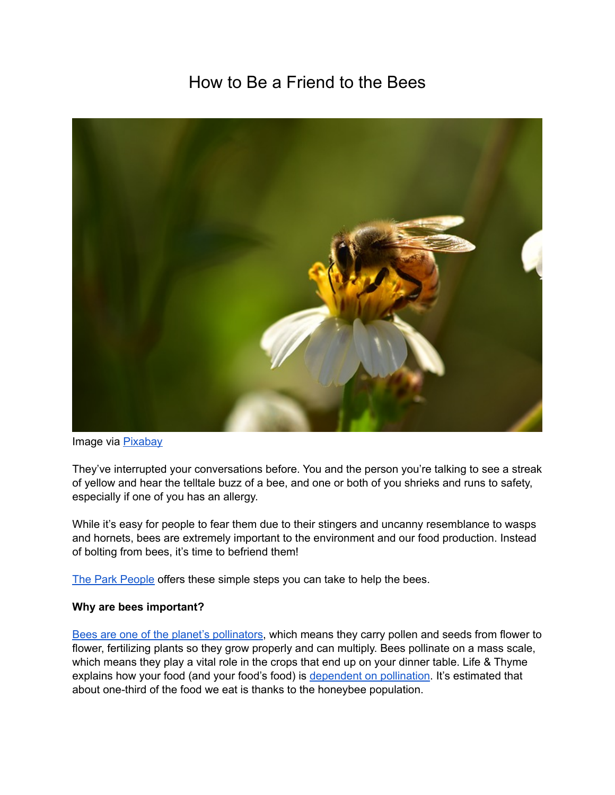# How to Be a Friend to the Bees



Image via [Pixabay](https://pixabay.com/en/insects-bees-wildflowers-honeybee-2061033/)

They've interrupted your conversations before. You and the person you're talking to see a streak of yellow and hear the telltale buzz of a bee, and one or both of you shrieks and runs to safety, especially if one of you has an allergy.

While it's easy for people to fear them due to their stingers and uncanny resemblance to wasps and hornets, bees are extremely important to the environment and our food production. Instead of bolting from bees, it's time to befriend them!

[The Park People](https://parkpeoplemke.org/) offers these simple steps you can take to help the bees.

### **Why are bees important?**

[Bees are one of the planet's pollinators,](https://beeaware.org.au/pollination/) which means they carry pollen and seeds from flower to flower, fertilizing plants so they grow properly and can multiply. Bees pollinate on a mass scale, which means they play a vital role in the crops that end up on your dinner table. Life & Thyme explains how your food (and your food's food) is [dependent on pollination](https://lifeandthyme.com/food/invaluable-role-of-bees-in-our-food-system/). It's estimated that about one-third of the food we eat is thanks to the honeybee population.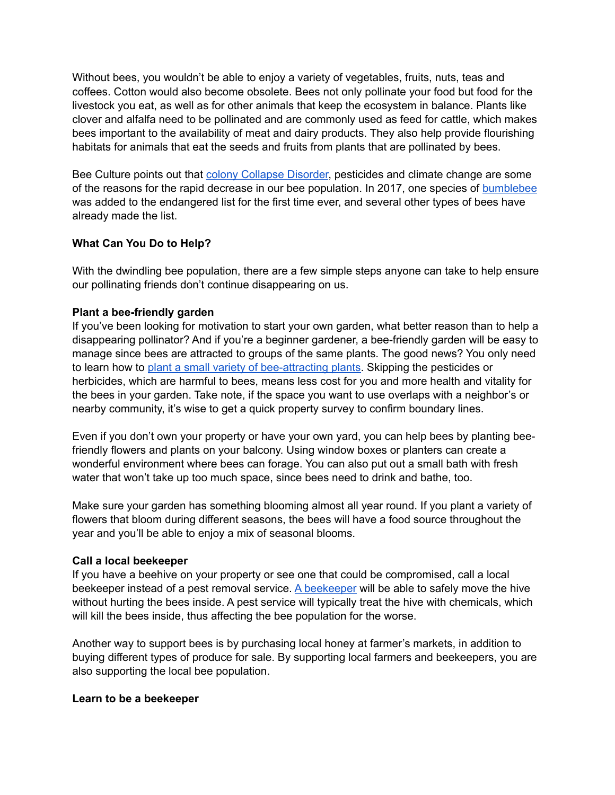Without bees, you wouldn't be able to enjoy a variety of vegetables, fruits, nuts, teas and coffees. Cotton would also become obsolete. Bees not only pollinate your food but food for the livestock you eat, as well as for other animals that keep the ecosystem in balance. Plants like clover and alfalfa need to be pollinated and are commonly used as feed for cattle, which makes bees important to the availability of meat and dairy products. They also help provide flourishing habitats for animals that eat the seeds and fruits from plants that are pollinated by bees.

Bee Culture points out that [colony Collapse Disorder,](https://www.beeculture.com/catch-the-buzz-colony-losses-105240/) pesticides and climate change are some of the reasons for the rapid decrease in our bee population. In 2017, one species of [bumblebee](https://www.scientificamerican.com/article/u-s-lists-a-bumble-bee-species-as-endangered-for-first-time/) was added to the endangered list for the first time ever, and several other types of bees have already made the list.

## **What Can You Do to Help?**

With the dwindling bee population, there are a few simple steps anyone can take to help ensure our pollinating friends don't continue disappearing on us.

### **Plant a bee-friendly garden**

If you've been looking for motivation to start your own garden, what better reason than to help a disappearing pollinator? And if you're a beginner gardener, a bee-friendly garden will be easy to manage since bees are attracted to groups of the same plants. The good news? You only need to learn how to [plant a small variety of bee-attracting plants](https://www.gardendesign.com/flowers/bees.html). Skipping the pesticides or herbicides, which are harmful to bees, means less cost for you and more health and vitality for the bees in your garden. Take note, if the space you want to use overlaps with a neighbor's or nearby community, it's wise to get a quick property survey to confirm boundary lines.

Even if you don't own your property or have your own yard, you can help bees by planting beefriendly flowers and plants on your balcony. Using window boxes or planters can create a wonderful environment where bees can forage. You can also put out a small bath with fresh water that won't take up too much space, since bees need to drink and bathe, too.

Make sure your garden has something blooming almost all year round. If you plant a variety of flowers that bloom during different seasons, the bees will have a food source throughout the year and you'll be able to enjoy a mix of seasonal blooms.

### **Call a local beekeeper**

If you have a beehive on your property or see one that could be compromised, call a local beekeeper instead of a pest removal service. [A beekeeper](https://www.abfnet.org/page/swarms) will be able to safely move the hive without hurting the bees inside. A pest service will typically treat the hive with chemicals, which will kill the bees inside, thus affecting the bee population for the worse.

Another way to support bees is by purchasing local honey at farmer's markets, in addition to buying different types of produce for sale. By supporting local farmers and beekeepers, you are also supporting the local bee population.

### **Learn to be a beekeeper**